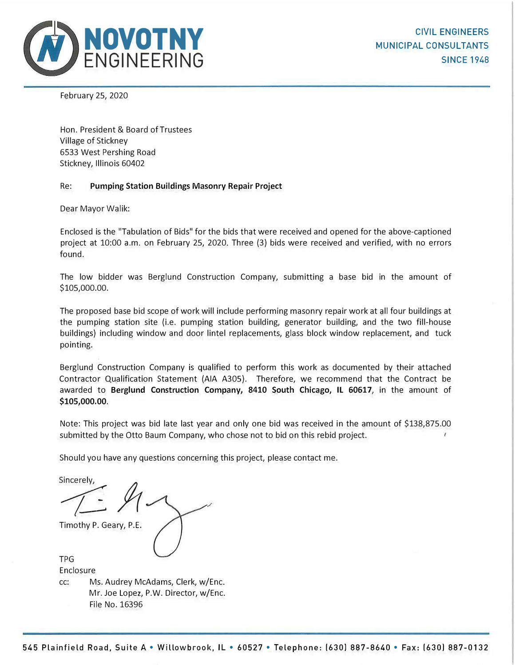

February 25, 2020

Hon. President & Board of Trustees Village of Stickney 6533 West Pershing Road Stickney, Illinois 60402

#### Re: **Pumping Station Buildings Masonry Repair Project**

Dear Mayor Walik:

Enclosed is the "Tabulation of Bids" for the bids that were received and opened for the above-captioned project at 10:00 a.m. on February 25, 2020. Three (3) bids were received and verified, with no errors found.

The low bidder was Berglund Construction Company, submitting a base bid in the amount of \$105,000.00.

The proposed base bid scope of work will include performing masonry repair work at all four buildings at the pumping station site (i.e. pumping station building, generator building, and the two fill-house buildings) including window and door lintel replacements, glass block window replacement, and tuck pointing.

Berglund Construction Company is qualified to perform this work as documented by their attached Contractor Qualification Statement (AIA A305). Therefore, we recommend that the Contract be awarded to **Berglund Construction Company, 8410 South Chicago, IL 60617,** in the amount of **\$105,000.00.** 

Note: This project was bid late last year and only one bid was received in the amount of \$138,875.00 submitted by the Otto Baum Company, who chose not to bid on this rebid project.

Should you have any questions concerning this project, please contact me.

Timothy P. Geary, P.E. Timothy P. Geary, P.E.

TPG Enclosure cc: Ms. Audrey McAdams, Clerk, w/Enc. Mr. Joe Lopez, P.W. Director, w/Enc. File No. 16396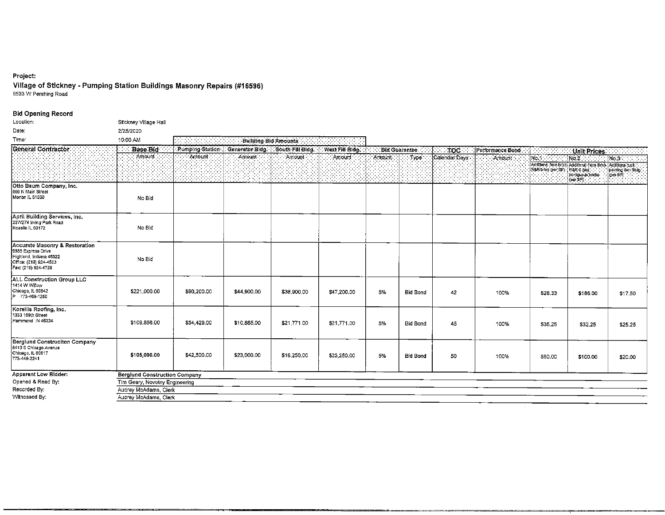#### Project:

Village of Stickney - Pumping Station Buildings Masonry Repairs (#16596)<br>6533 W Pershing Road

#### **Bid Opening Record**

| Location:                                                                                                                        | Stickney Village Hall                |               |                                                                        |             |             |        |                      |               |                  |                                 |                                                                                               |                              |
|----------------------------------------------------------------------------------------------------------------------------------|--------------------------------------|---------------|------------------------------------------------------------------------|-------------|-------------|--------|----------------------|---------------|------------------|---------------------------------|-----------------------------------------------------------------------------------------------|------------------------------|
| Date:                                                                                                                            | 2/25/2020                            |               |                                                                        |             |             |        |                      |               |                  |                                 |                                                                                               |                              |
| Time:                                                                                                                            | 10:00 AM                             | 33            | Building Bid Amounts                                                   |             |             |        |                      |               |                  |                                 |                                                                                               |                              |
| Géneral Contractor                                                                                                               | <b>Base Bid</b>                      |               | Pumping Station   Generator Bidg.   South Fill Bidg.   West Fill Bidg. |             |             |        | <b>Bid Guarantee</b> | $-TOC$        | Performance Bond | 나라 사고 다                         | Unit Prices                                                                                   |                              |
|                                                                                                                                  | Amount                               | <b>Amount</b> | Amount.                                                                | Amount      | Amount      | Amount | Type :               | Calendar Days | : Amount         | Mo.1                            | $N\sigma$ 2 :                                                                                 | No 3                         |
|                                                                                                                                  |                                      |               |                                                                        |             |             |        |                      |               |                  | RaRuntak (per sp. 1RaR 6 (six); | Additional face brick Additional Face Brick Additional tuck.<br>bontiguous bricks<br>(ber SF) | politing Gen Bidg<br>lue SR. |
| Otto Baum Company, Inc.<br>866 N Main Street<br>Morton IL 61550                                                                  | No Bid                               |               |                                                                        |             |             |        |                      |               |                  |                                 |                                                                                               |                              |
| April Building Services, Inc.<br>22W274 Irving Park Road<br>Roselle IL 60172                                                     | No Bid                               |               |                                                                        |             |             |        |                      |               |                  |                                 |                                                                                               |                              |
| Accurate Masonry & Restoration<br>9955 Express Drive<br>Highland, Indiana 46322<br>Office: (219) 924-4503<br>Fax: (219) 924-4728 | No Bid                               |               |                                                                        |             |             |        |                      |               |                  |                                 |                                                                                               |                              |
| <b>ALL Construction Group LLC</b><br>1414 W Willow<br>Chicago, 1L 60642<br>P 773-469-1260                                        | \$221,000.00                         | \$90,200,00   | \$44,900.00                                                            | \$38,900.00 | \$47,200.00 | 5%     | Bid Bond             | 42            | 100%             | 528 33                          | \$186.00                                                                                      | \$17.50                      |
| Korellis Roofing, Inc.<br>1333 169th Street<br>Hammond IN 46324                                                                  | \$108,856.00                         | \$54,429.00   | \$10,885,00                                                            | \$21,771.00 | \$21,771.00 | 5%     | Bid Bond             | 45            | 100%             | 535 25                          | \$32.25                                                                                       | \$25.25                      |
| Berglund Construciton Company<br>8410 S Chicago Avenue<br>Chicago, IL 60617<br>773-449-2241                                      | \$105,000.00                         | \$42,500,00   | \$23,000.00                                                            | \$16,250.00 | \$23,250.00 | 5%     | Bid Bond             | 50            | 100%             | \$50.00                         | \$100,00                                                                                      | \$20.00                      |
| Apparent Low Bidder:                                                                                                             | <b>Berglund Construction Company</b> |               |                                                                        |             |             |        |                      |               |                  |                                 |                                                                                               |                              |
| Opened & Read By:                                                                                                                | Tim Geary, Novotny Engineering       |               |                                                                        |             |             |        |                      |               |                  |                                 |                                                                                               |                              |
| Recorded By:                                                                                                                     | Audrey McAdams, Clerk                |               |                                                                        |             |             |        |                      |               |                  |                                 |                                                                                               |                              |
| Witnessed By:                                                                                                                    | Audrey McAdams, Clerk                |               |                                                                        |             |             |        |                      |               |                  |                                 |                                                                                               |                              |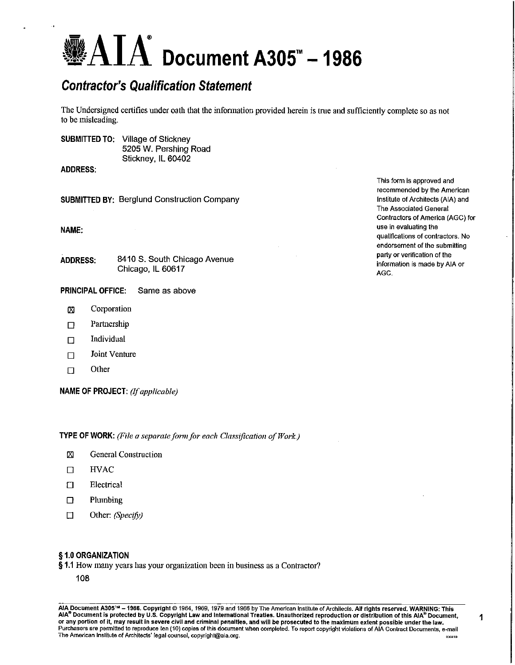## $\mathbf{AIA}^*$  Document A305" - 1986

### **Contractor's Qualification Statement**

The Undersigned certifies under oath that the information provided herein is true and sufficiently complete so as not to be misleading.

**SUBMITTED TO: Village of Stickney** 5205 W. Pershing Road Stickney, IL 60402

**ADDRESS:** 

**SUBMITTED BY: Berglund Construction Company** 

NAME:

8410 S. South Chicago Avenue **ADDRESS:** Chicago, IL 60617

- **PRINCIPAL OFFICE:** Same as above
	- Corporation Ø
	- Partnership  $\Box$
	- Individual  $\Box$
	- Joint Venture  $\Box$
	- Other  $\Box$

NAME OF PROJECT: (If applicable)

**TYPE OF WORK:** (File a separate form for each Classification of Work.)

- Σ **General Construction**
- $\Box$ **HVAC**
- Electrical  $\Box$
- $\Box$ Plumbing
- $\Box$ Other: (Specify)

#### § 1.0 ORGANIZATION

#### §1.1 How many years has your organization been in business as a Contractor?

108

AIA Document A305™ - 1986. Copyright © 1964, 1969, 1979 and 1986 by The American Institute of Architects. All rights reserved. WARNING: This AIA® Document is protected by U.S. Copyright Law and International Treaties. Unauthorized reproduction or distribution of this AIA® Document, or any portion of it, may result in severe civil and criminal penalties, and will be prosecuted to the maximum extent possible under the law.<br>Purchasers are permitted to reproduce ten (10) copies of this document when comp The American Institute of Architects' legal counsel, copyright@aia.org. 030410

This form is approved and recommended by the American Institute of Architects (AIA) and The Associated General Contractors of America (AGC) for use in evaluating the qualifications of contractors. No endorsement of the submitting party or verification of the information is made by AIA or AGC.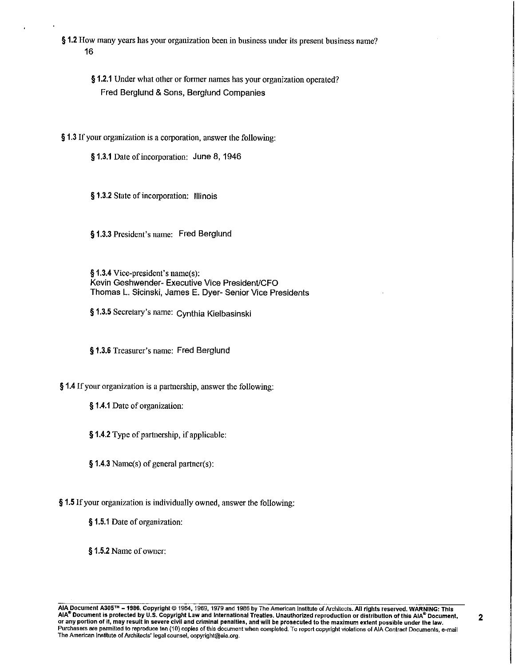§ 1.2 How many years has your organization been in business under its present business name? 16

§ 1.2.1 Under what other or former names has your organization operated? Fred Berglund & Sons, Berglund Companies

§ 1.3 If your organization is a corporation, answer the following:

§ 1.3.1 Date of incorporation: June 8, 1946

§ 1.3.2 State of incorporation: Illinois

§ 1.3.3 President's name: Fred Berglund

§ 1.3.4 Vice-president's name(s): Kevin Geshwender- Executive Vice President/CFO Thomas L. Sicinski, James E. Dyer- Senior Vice Presidents

§ 1.3.5 Secretary's name: Cynthia Kielbasinski

§1.3.6 Treasurer's name: Fred Berglund

§ 1.4 If your organization is a partnership, answer the following:

§ 1.4.1 Date of organization:

§ 1.4.2 Type of partnership, if applicable:

 $§ 1.4.3$  Name(s) of general partner(s):

§ 1.5 If your organization is individually owned, answer the following:

§ 1.5.1 Date of organization:

§ 1.5.2 Name of owner: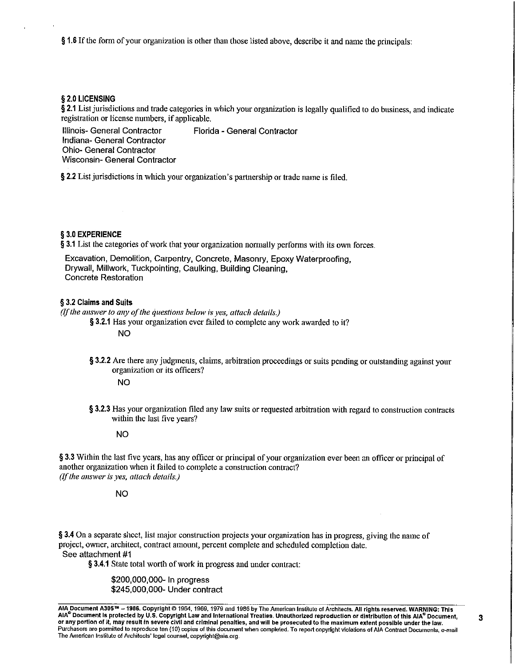§ 1.6 If the form of your organization is other than those listed above, describe it and name the principals:

#### § 2.0 LICENSING

§ 2.1 List jurisdictions and trade categories in which your organization is legally qualified to do business, and indicate registration or license numbers, if applicable.

Illinois- General Contractor Florida - General Contractor Indiana- General Contractor **Ohio- General Contractor Wisconsin- General Contractor** 

§ 2.2 List jurisdictions in which your organization's partnership or trade name is filed.

#### § 3.0 EXPERIENCE

§ 3.1 List the categories of work that your organization normally performs with its own forces.

Excavation, Demolition, Carpentry, Concrete, Masonry, Epoxy Waterproofing, Drywall, Millwork, Tuckpointing, Caulking, Building Cleaning, **Concrete Restoration** 

#### § 3.2 Claims and Suits

 $(f$  the answer to any of the questions below is yes, attach details.)

§ 3.2.1 Has your organization ever failed to complete any work awarded to it?

**NO** 

§ 3.2.2 Are there any judgments, claims, arbitration proceedings or suits pending or outstanding against your organization or its officers?

**NO** 

§ 3.2.3 Has your organization filed any law suits or requested arbitration with regard to construction contracts within the last five years?

#### **NO**

§ 3.3 Within the last five years, has any officer or principal of your organization ever been an officer or principal of another organization when it failed to complete a construction contract? (If the answer is yes, attach details.)

**NO** 

§ 3.4 On a separate sheet, list major construction projects your organization has in progress, giving the name of project, owner, architect, contract amount, percent complete and scheduled completion date. See attachment #1

§ 3.4.1 State total worth of work in progress and under contract:

\$200,000,000- In progress \$245,000,000- Under contract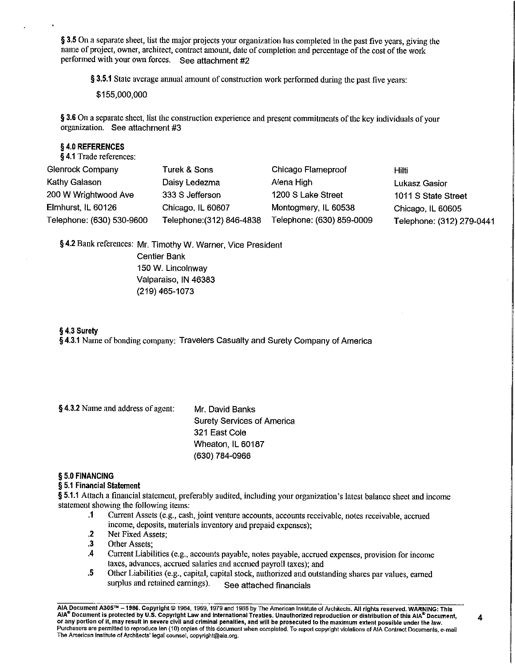§ 3.5 On a separate sheet, list the major projects your organization has completed in the past five years, giving the name of project, owner, architect, contract amount, date of completion and percentage of the cost of the work performed with your own forces. See attachment #2

§ 3.5.1 State average annual amount of construction work performed during the past five years:

\$155,000,000

§ 3.6 On a separate sheet, list the construction experience and present commitments of the key individuals of your organization. See attachment #3

#### § 4.0 REFERENCES

§4.1 Trade references:

| <b>Glenrock Company</b>   | Turek & Sons              | Chicago Flameproof        | Hilti                    |
|---------------------------|---------------------------|---------------------------|--------------------------|
| Kathy Galason             | Daisy Ledezma             | Alena High                | Lukasz Gasior            |
| 200 W Wrightwood Ave      | 333 S Jefferson           | 1200 S Lake Street        | 1011 S State Street      |
| Elmhurst, IL 60126        | Chicago, IL 60607         | Montogmery, IL 60538      | Chicago, IL 60605        |
| Telephone: (630) 530-9600 | Telephone: (312) 846-4838 | Telephone: (630) 859-0009 | Telephone: (312) 279-044 |

§ 4.2 Bank references: Mr. Timothy W. Warner, Vice President

**Centier Bank** 150 W. Lincolnway Valparaiso, IN 46383 (219) 465-1073

#### § 4.3 Surety

§4.3.1 Name of bonding company: Travelers Casualty and Surety Company of America

| Mr. David Banks                   |
|-----------------------------------|
| <b>Surety Services of America</b> |
| 321 East Cole                     |
| Wheaton, IL 60187                 |
| (630) 784-0966                    |
|                                   |

#### § 5.0 FINANCING

#### § 5.1 Financial Statement

§ 5.1.1 Attach a financial statement, preferably audited, including your organization's latest balance sheet and income statement showing the following items:

- Current Assets (e.g., cash, joint venture accounts, accounts receivable, notes receivable, accrued  $\cdot$ income, deposits, materials inventory and prepaid expenses):
- Net Fixed Assets:  $\cdot$
- $\cdot$ 3 Other Assets:
- $\mathcal{A}_{\mathcal{A}}$ Current Liabilities (e.g., accounts payable, notes payable, accrued expenses, provision for income taxes, advances, accrued salaries and accrued payroll taxes); and
- $\overline{\mathbf{5}}$ Other Liabilities (e.g., capital, capital stock, authorized and outstanding shares par values, earned surplus and retained earnings). See attached financials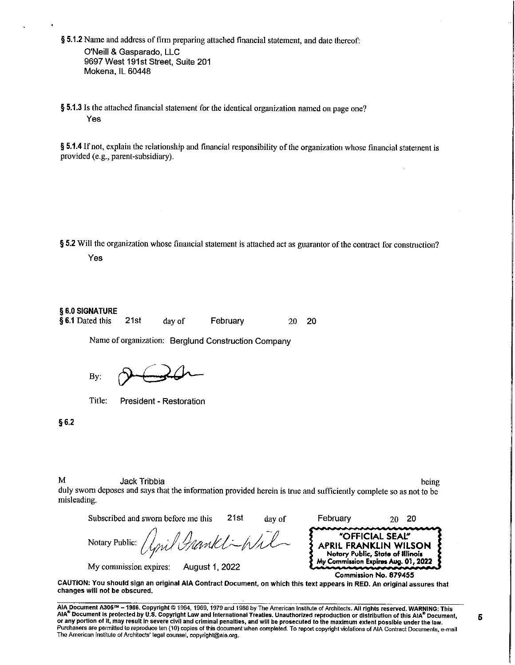§ 5.1.2 Name and address of firm preparing attached financial statement, and date thereof: O'Neill & Gasparado, LLC 9697 West 191st Street, Suite 201 Mokena. IL 60448

§ 5.1.3 Is the attached financial statement for the identical organization named on page one? Yes

§ 5.1.4 If not, explain the relationship and financial responsibility of the organization whose financial statement is provided (e.g., parent-subsidiary).

§ 5.2 Will the organization whose financial statement is attached act as guarantor of the contract for construction? Yes

#### § 6.0 SIGNATURE

§ 6.1 Dated this  $21st$ day of February 20 20

Name of organization: Berglund Construction Company

By:

Title: President - Restoration

 $$6.2$ 

M

Jack Tribbia

being

duly sworn deposes and says that the information provided herein is true and sufficiently complete so as not to be misleading.

Subscribed and sworn before me this  $21st$ February day of 20 -20 "OFFICIAL SEAL" Wh Notary Public: APRIL FRANKLIN WILSON Notary Public, State of Illinois My Commission Expires Aug. 01, 2022 My commission expires: August 1, 2022 Commission No. 879455

CAUTION: You should sign an original AIA Contract Document, on which this text appears in RED. An original assures that changes will not be obscured.

AIA Document A305™ - 1986. Copyright © 1964, 1969, 1979 and 1986 by The American Institute of Architects. All rights reserved. WARNING: This AIA® Document is protected by U.S. Copyright Law and International Treaties. Unauthorized reproduction or distribution of this AIA® Document, or any portion of it, may result in severe civil and criminal penalties, and will be prosecuted to the maximum extent possible under the law. Purchasers are permitted to reproduce ten (10) copies of this document when completed. To report copyright violations of AIA Contract Documents, e-mail The American Institute of Architects' legal counsel, copyright@aia.org.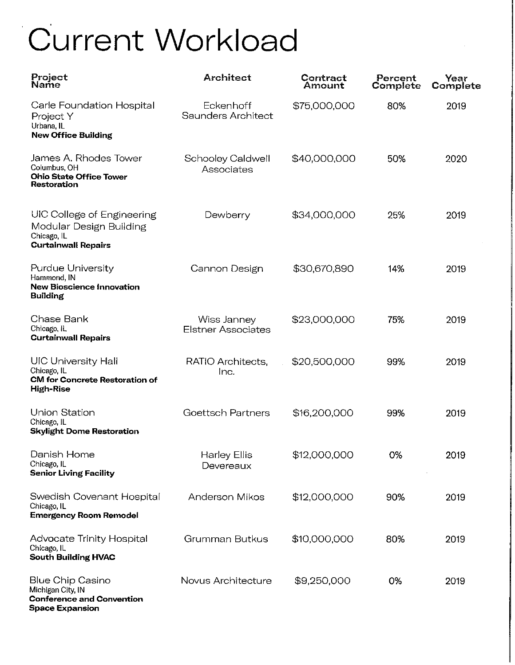# Current Workload

| Project<br>Name                                                                                        | <b>Architect</b>                         | Contract<br>Amount | Percent<br>Complete | Year<br>Complete |
|--------------------------------------------------------------------------------------------------------|------------------------------------------|--------------------|---------------------|------------------|
| Carle Foundation Hospital<br>Project Y<br>Urbana, IL<br><b>New Office Building</b>                     | Eckenhoff<br>Saunders Architect          | \$75,000,000       | 80%                 | 2019             |
| James A. Rhodes Tower<br>Columbus, OH<br><b>Ohio State Office Tower</b><br>Restoration                 | Schooley Caldwell<br>Associates          | \$40,000,000       | 50%                 | 2020             |
| UIC College of Engineering<br>Modular Design Building<br>Chicago, IL<br><b>Curtainwall Repairs</b>     | Dewberry                                 | \$34,000,000       | 25%                 | 2019             |
| <b>Purdue University</b><br>Hammond, IN<br><b>New Bioscience Innovation</b><br><b>Building</b>         | Cannon Design                            | \$30,670,890       | 14%                 | 2019             |
| Chase Bank<br>Chicago, IL<br><b>Curtainwall Repairs</b>                                                | Wiss Janney<br><b>Elstner Associates</b> | \$23,000,000       | 75%                 | 2019             |
| <b>UIC University Hall</b><br>Chicago, IL<br><b>CM for Concrete Restoration of</b><br><b>High-Rise</b> | RATIO Architects,<br>Inc.                | \$20,500,000       | 99%                 | 2019             |
| <b>Union Station</b><br>Chicago, IL<br><b>Skylight Dome Restoration</b>                                | Goettsch Partners                        | \$16,200,000       | 99%                 | 2019             |
| Danish Home<br>Chicago, IL<br><b>Senior Living Facility</b>                                            | Harley Ellis<br>Devereaux                | \$12,000,000       | 0%                  | 2019             |
| Swedish Covenant Hospital<br>Chicago, IL<br><b>Emergency Room Remodel</b>                              | Anderson Mikos                           | \$12,000,000       | 90%                 | 2019             |
| Advocate Trinity Hospital<br>Chicago, IL<br><b>South Building HVAC</b>                                 | Grumman Butkus                           | \$10,000,000       | 80%                 | 2019             |
| Blue Chip Casino<br>Michigan City, IN<br><b>Conference and Convention</b><br><b>Space Expansion</b>    | Novus Architecture                       | \$9,250,000        | 0%                  | 2019             |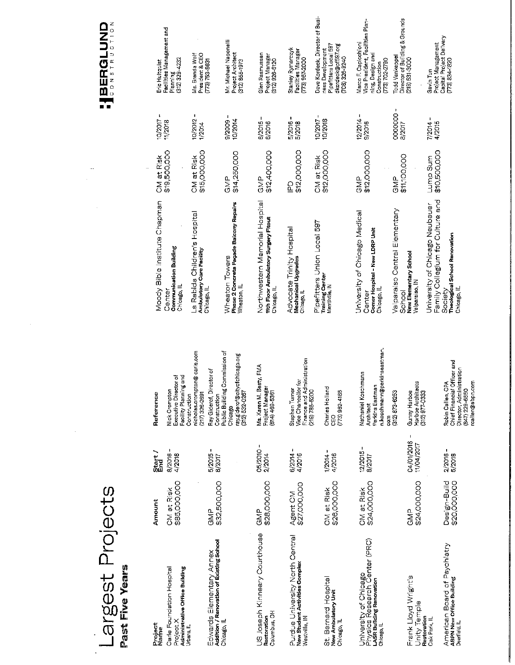# Largest Projects<br>Past Five Vears

| Project<br>Name                                                                                   | Amount                       | Start<br>End                      | Reference                                                                                                                               |
|---------------------------------------------------------------------------------------------------|------------------------------|-----------------------------------|-----------------------------------------------------------------------------------------------------------------------------------------|
| Administrative Office Building<br>Carle Foundation Hospital<br>Project X<br>Urbana, IL            | \$85,000,000<br>CM at Risk   | 1<br>8/2016<br>4/2018             | nicholas.crompton@carle.com<br>Facility Planning and<br>Executive Director of<br>Nick Crompton<br>(217) 326-2691<br>Construction        |
| Edwards Elementary Annex<br>Addition / Renovation of Existing School<br>Chicago, IL               | \$32,500,000<br>GMP          | п<br>5/2015<br>8/2017             | Public Building Commission of<br>ray.gideror@cityorchicago.org<br>Ray Giderof, Director of<br>(312) 532-0267<br>Construction<br>Chicago |
| US Joseph Kinneary Courthouse<br>Columbus, OH<br>Restoration                                      | \$28,000,000<br>오<br>증       | ٠<br>05/2010<br>2/2014            | Ms. Karen M. Beaty, FMA<br>Project Manager<br>(614) 469-5361                                                                            |
| Purdue University North Central<br>New Student Activities Complex<br>Westville, IN                | Agent CM<br>\$27,000,000     | ŧ<br>6/2014<br>4/2016             | Finance and Administration<br>Vice Chancellor for<br>Stephen Turner<br>(219) 785-5200                                                   |
| St. Bernard Hospital<br>New Ambulatory Unit<br>Chicago, Il                                        | \$26,000,000<br>CM at Risk   | þ<br>4/2016<br>1/2014             | Charles Holland<br>$(773)962 - 4165$<br>89                                                                                              |
| University of Chicago<br>Physics Research Center (PRC)<br>LASR Building Renovation<br>Chicago, IL | \$24,000,000<br>CM at Risk   | $\mathbf{I}$<br>12/2015<br>8/2017 | n.koschmann@perkinseastman.<br>Nathaniel Koschmann<br>Perkins Eastman<br>312) 873-6253<br>Architect<br>5g                               |
| Frank Lloyd Wright's<br>Φ<br>Unity Templ<br>Restoration<br>Oak Park, IL                           | \$24,000,000<br>d<br>So      | 04/01/2016<br>11/04/2017          | Harboe Architects<br>Gunny Harboe<br>312) 977-0333                                                                                      |
| American Board of Psychiatry<br>ABPN New Office Building<br>Deerfield, IL                         | Design-Build<br>\$20,000,000 | D<br>2/2016<br>5/2018             | Chief Financial Officer and<br>Director Administration<br>rcallen@abpn.com<br>Robin Callen, CPA<br>(847) 229-6650                       |

| Moody Bible Institute Chapman<br><b>Communication Building</b><br>Chicago, IL<br>Center                                       | \$19,500,000<br>CM at Risk | J.<br>10/2017<br>11/2018 | Facilities Management and<br>(312) 329-4232<br>Eric Hultquist<br>Planning                                            |
|-------------------------------------------------------------------------------------------------------------------------------|----------------------------|--------------------------|----------------------------------------------------------------------------------------------------------------------|
| La Rabida Children's Hospital<br><b>Ambulatory Care Facility</b><br>Chicago, IL                                               | \$15,000,000<br>CM at Risk | f,<br>10/2012<br>1/2014  | Ms. Brenda Wolf<br>President & CEO<br>(773) 753-8631                                                                 |
| Phase 2 Concrete Façade Balcony Repairs<br>Wheaton Towers<br>Wheaton IL                                                       | \$14,250,000<br><b>GMP</b> | $9/2009 -$<br>10/2014    | Mr. Michael Naponelli<br>Project Architect<br>(312) 855-1973                                                         |
| Northwestern Memorial Hospital<br><b>Itth Floor Ambulatory Surgery Fitout</b><br>Chicago, IL                                  | \$12,400,000<br>GMP        | ı<br>6/2015<br>6/2016    | Glen Rasmussen<br>Project Manager<br>(312) 926-6120                                                                  |
| Advocate Trinity Hospital<br>Mechanical Upgrades<br>Chicago, IL                                                               | \$12,000,000<br><u>բ</u>   | 5/2016<br>5/2018         | Stanley Rymarczyk<br>Facilities Manager<br>(773) 967-2000                                                            |
| Pipefitters Union Local 597<br><b>Training Center</b><br>Merrillville IN                                                      | \$12,000,000<br>CM at Risk | 10/2017<br>10/2018       | Dave Kordeck, Director of Busi-<br>Pipefitters Local 597<br>dkordeck@pf597.org<br>ness Development<br>(708) 326-9240 |
| University of Chicago Medical<br>Comer Hospital - New LDRP Unit<br>Chicago, IL<br>Center                                      | \$12,000,000<br><b>GND</b> | п<br>12/2014<br>9/2016   | Vice President, Facilities Plan-<br>Marco F. Capicchioni<br>ning, Design and<br>(773) 702-2790<br>Construction       |
| Valparaiso Central Elementary<br>New Elementary School<br>Valparaiso, IN<br>School                                            | \$11,100,000<br>d<br>ND    | -0000000<br>8/2017       | Director of Building & Grounds<br>Todd Vankeppel<br>219) 531-3000                                                    |
| Family Collegium for Culture and<br>University of Chicago Neubauer<br>Theological School Renovation<br>Chicago, IL<br>Society | \$10,500,000<br>Lump Sum   | ı<br>7/2014<br>4/2015    | Capital Project Delivery<br>Project Management<br>$(773) 834 - 1820$<br>Gavin Tun                                    |

**IBERGLUND** 

ă,

l,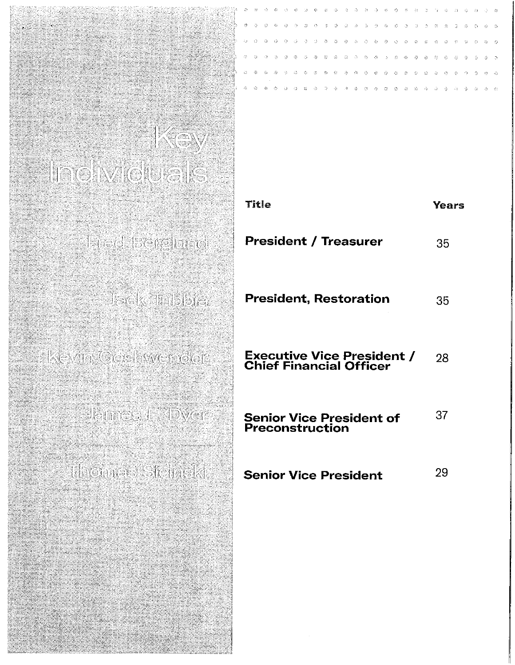## KOY Individuale

Theo bergiune

Jack III bloke

Kevin Ger Imrader

Janes E Dyer

Hitomes Steinski

| Title                                                               | Years |
|---------------------------------------------------------------------|-------|
| <b>President / Treasurer</b>                                        | 35    |
| <b>President, Restoration</b>                                       | 35    |
| <b>Executive Vice President /</b><br><b>Chief Financial Officer</b> | 28    |
| <b>Senior Vice President of</b><br><b>Preconstruction</b>           | 37    |
| <b>Senior Vice President</b>                                        | 29    |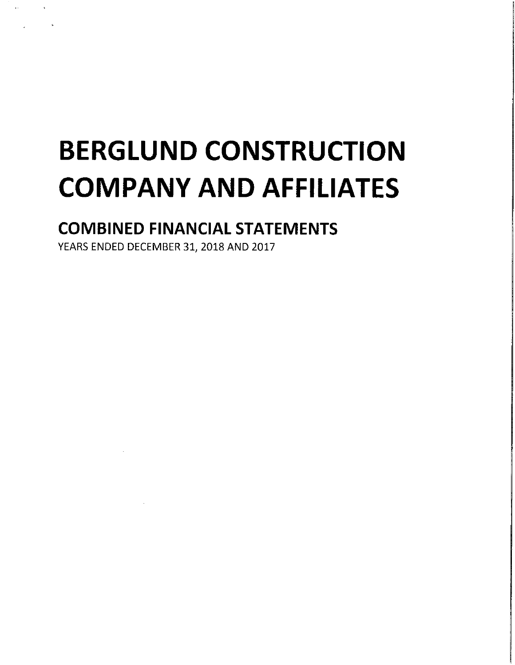## **BERGLUND CONSTRUCTION COMPANY AND AFFILIATES**

## **COMBINED FINANCIAL STATEMENTS**

YEARS ENDED DECEMBER 31, 2018 AND 2017

 $\alpha$  and  $\alpha$  and  $\alpha$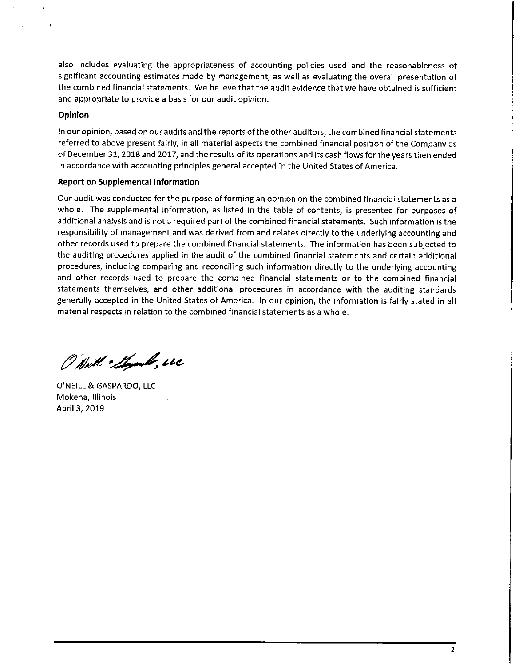also includes evaluating the appropriateness of accounting policies used and the reasonableness of significant accounting estimates made by management, as well as evaluating the overall presentation of the combined financial statements. We believe that the audit evidence that we have obtained is sufficient and appropriate to provide a basis for our audit opinion.

#### Opinion

In our opinion, based on our audits and the reports of the other auditors, the combined financial statements referred to above present fairly, in all material aspects the combined financial position of the Company as of December 31, 2018 and 2017, and the results of its operations and its cash flows for the years then ended in accordance with accounting principles general accepted in the United States of America.

#### **Report on Supplemental Information**

Our audit was conducted for the purpose of forming an opinion on the combined financial statements as a whole. The supplemental information, as listed in the table of contents, is presented for purposes of additional analysis and is not a required part of the combined financial statements. Such information is the responsibility of management and was derived from and relates directly to the underlying accounting and other records used to prepare the combined financial statements. The information has been subjected to the auditing procedures applied in the audit of the combined financial statements and certain additional procedures, including comparing and reconciling such information directly to the underlying accounting and other records used to prepare the combined financial statements or to the combined financial statements themselves, and other additional procedures in accordance with the auditing standards generally accepted in the United States of America. In our opinion, the information is fairly stated in all material respects in relation to the combined financial statements as a whole.

O Nell - Should, uc

O'NEILL & GASPARDO, LLC Mokena, Illinois April 3, 2019